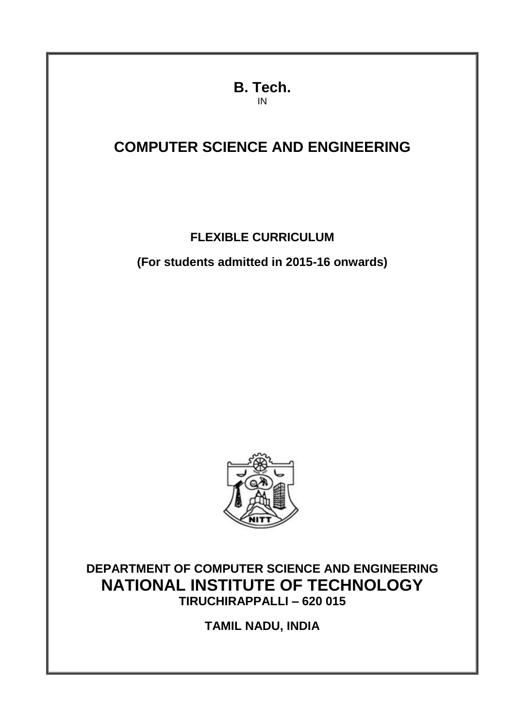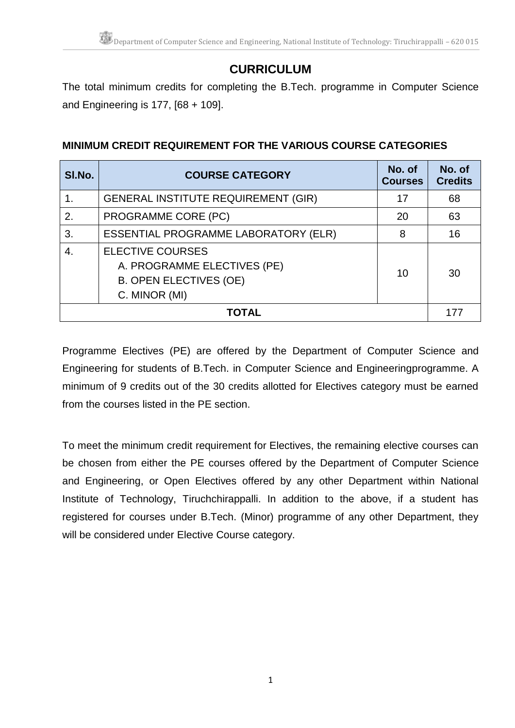# **CURRICULUM**

The total minimum credits for completing the B.Tech. programme in Computer Science and Engineering is 177, [68 + 109].

# **MINIMUM CREDIT REQUIREMENT FOR THE VARIOUS COURSE CATEGORIES**

| SI.No.         | <b>COURSE CATEGORY</b>                                                                                   | No. of<br><b>Courses</b> | No. of<br><b>Credits</b> |  |  |  |
|----------------|----------------------------------------------------------------------------------------------------------|--------------------------|--------------------------|--|--|--|
|                | <b>GENERAL INSTITUTE REQUIREMENT (GIR)</b>                                                               | 17                       | 68                       |  |  |  |
| 2.             | PROGRAMME CORE (PC)                                                                                      | 20                       | 63                       |  |  |  |
| 3.             | <b>ESSENTIAL PROGRAMME LABORATORY (ELR)</b>                                                              | 8                        | 16                       |  |  |  |
| $\overline{4}$ | <b>ELECTIVE COURSES</b><br>A. PROGRAMME ELECTIVES (PE)<br><b>B. OPEN ELECTIVES (OE)</b><br>C. MINOR (MI) | 10                       | 30                       |  |  |  |
|                | <b>TOTAL</b>                                                                                             |                          |                          |  |  |  |

Programme Electives (PE) are offered by the Department of Computer Science and Engineering for students of B.Tech. in Computer Science and Engineeringprogramme. A minimum of 9 credits out of the 30 credits allotted for Electives category must be earned from the courses listed in the PE section.

To meet the minimum credit requirement for Electives, the remaining elective courses can be chosen from either the PE courses offered by the Department of Computer Science and Engineering, or Open Electives offered by any other Department within National Institute of Technology, Tiruchchirappalli. In addition to the above, if a student has registered for courses under B.Tech. (Minor) programme of any other Department, they will be considered under Elective Course category.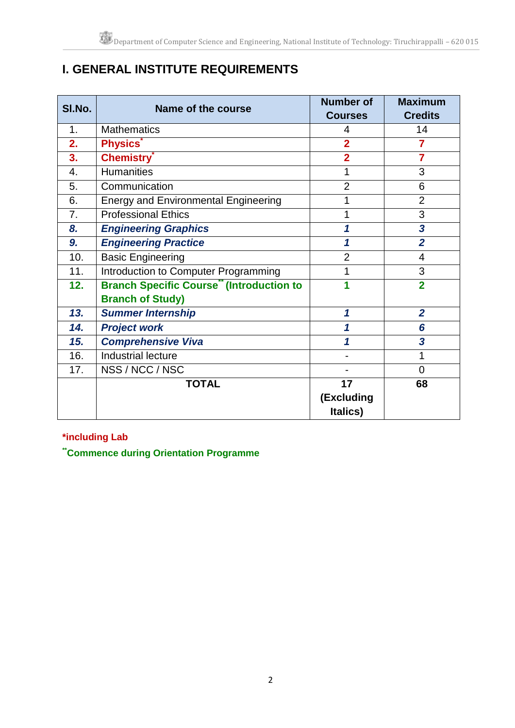# **I. GENERAL INSTITUTE REQUIREMENTS**

| SI.No. | Name of the course                              | <b>Number of</b> | <b>Maximum</b>          |
|--------|-------------------------------------------------|------------------|-------------------------|
|        |                                                 | <b>Courses</b>   | <b>Credits</b>          |
| 1.     | <b>Mathematics</b>                              | 4                | 14                      |
| 2.     | <b>Physics</b>                                  | $\overline{2}$   | 7                       |
| 3.     | <b>Chemistry</b>                                | $\overline{2}$   | $\overline{7}$          |
| 4.     | <b>Humanities</b>                               | 1                | 3                       |
| 5.     | Communication                                   | $\overline{2}$   | 6                       |
| 6.     | <b>Energy and Environmental Engineering</b>     | 1                | $\overline{2}$          |
| 7.     | <b>Professional Ethics</b>                      | 1                | 3                       |
| 8.     | <b>Engineering Graphics</b>                     | 1                | $\overline{\mathbf{3}}$ |
| 9.     | <b>Engineering Practice</b>                     | 1                | $\overline{2}$          |
| 10.    | <b>Basic Engineering</b>                        | $\overline{2}$   | 4                       |
| 11.    | Introduction to Computer Programming            | 1                | 3                       |
| 12.    | <b>Branch Specific Course" (Introduction to</b> | 1                | $\overline{2}$          |
|        | <b>Branch of Study)</b>                         |                  |                         |
| 13.    | <b>Summer Internship</b>                        | 1                | $\overline{2}$          |
| 14.    | <b>Project work</b>                             | 1                | 6                       |
| 15.    | <b>Comprehensive Viva</b>                       | 1                | 3                       |
| 16.    | Industrial lecture                              |                  | 1                       |
| 17.    | NSS / NCC / NSC                                 |                  | $\overline{0}$          |
|        | <b>TOTAL</b>                                    | 17               | 68                      |
|        |                                                 | (Excluding       |                         |
|        |                                                 | Italics)         |                         |

### **\*including Lab**

**\*\*Commence during Orientation Programme**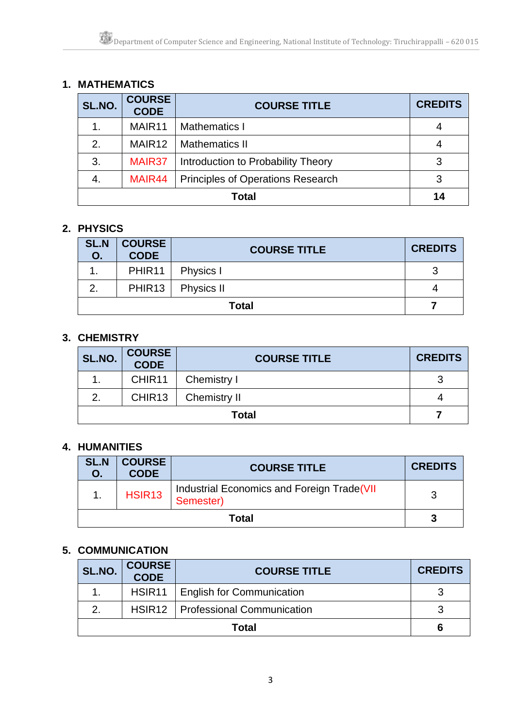# **1. MATHEMATICS**

| SL.NO.       | <b>COURSE</b><br><b>CODE</b> | <b>COURSE TITLE</b>                      | <b>CREDITS</b> |
|--------------|------------------------------|------------------------------------------|----------------|
| 1.           | MAIR <sub>11</sub>           | <b>Mathematics I</b>                     |                |
| 2.           | MAIR <sub>12</sub>           | <b>Mathematics II</b>                    |                |
| 3.           | MAIR37                       | Introduction to Probability Theory       |                |
| -4.          | MAIR44                       | <b>Principles of Operations Research</b> |                |
| <b>Total</b> |                              |                                          | 14             |

### **2. PHYSICS**

| <b>SL.N</b><br>O. | <b>COURSE</b><br><b>CODE</b> | <b>COURSE TITLE</b> | <b>CREDITS</b> |
|-------------------|------------------------------|---------------------|----------------|
|                   | PHIR <sub>11</sub>           | Physics I           |                |
| 2.                | <b>PHIR13</b>                | Physics II          |                |
| <b>Total</b>      |                              |                     |                |

### **3. CHEMISTRY**

| SL.NO.       | <b>COURSE<br/>CODE</b> | <b>COURSE TITLE</b> | <b>CREDITS</b> |
|--------------|------------------------|---------------------|----------------|
|              | CHIR11                 | Chemistry I         |                |
| 2.           | CHIR <sub>13</sub>     | <b>Chemistry II</b> |                |
| <b>Total</b> |                        |                     |                |

## **4. HUMANITIES**

| <b>SL.N</b><br>О. | <b>COURSE</b><br><b>CODE</b> | <b>COURSE TITLE</b>                                     | <b>CREDITS</b> |
|-------------------|------------------------------|---------------------------------------------------------|----------------|
|                   | HSIR <sub>13</sub>           | Industrial Economics and Foreign Trade(VII<br>Semester) |                |
| Total             |                              |                                                         |                |

### **5. COMMUNICATION**

| SL.NO.        | <b>COURSE<br/>CODE</b> | <b>COURSE TITLE</b>                 | <b>CREDITS</b> |
|---------------|------------------------|-------------------------------------|----------------|
|               | HSIR <sub>11</sub>     | English for Communication           |                |
| $\mathcal{P}$ |                        | HSIR12   Professional Communication | っ              |
| Total         |                        |                                     |                |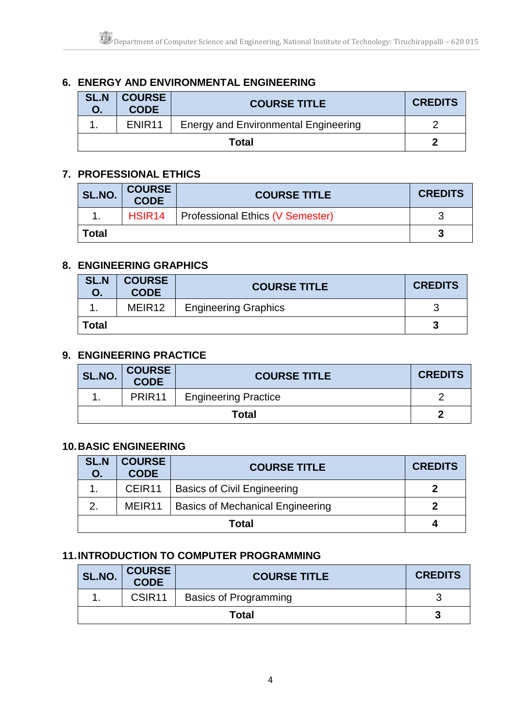# **6. ENERGY AND ENVIRONMENTAL ENGINEERING**

| <b>SL.N</b> | COURSE  <br><b>CODE</b> | <b>COURSE TITLE</b>                         | <b>CREDITS</b> |
|-------------|-------------------------|---------------------------------------------|----------------|
|             | ENIR <sub>11</sub>      | <b>Energy and Environmental Engineering</b> |                |
| Total       |                         |                                             |                |

### **7. PROFESSIONAL ETHICS**

| SL.NO. | <b>COURSE</b><br><b>CODE</b> | <b>COURSE TITLE</b>              | <b>CREDITS</b> |
|--------|------------------------------|----------------------------------|----------------|
|        | HSIR <sub>14</sub>           | Professional Ethics (V Semester) |                |
| Гоtal  |                              |                                  |                |

### **8. ENGINEERING GRAPHICS**

| <b>SL.N</b> | <b>COURSE</b><br><b>CODE</b> | <b>COURSE TITLE</b>         | <b>CREDITS</b> |
|-------------|------------------------------|-----------------------------|----------------|
|             | MEIR <sub>12</sub>           | <b>Engineering Graphics</b> | r              |
| Total       |                              |                             | п              |

### **9. ENGINEERING PRACTICE**

| SL.NO. | <b>COURSE<br/>CODE</b> | <b>COURSE TITLE</b>         | <b>CREDITS</b> |
|--------|------------------------|-----------------------------|----------------|
|        | PRIR <sub>11</sub>     | <b>Engineering Practice</b> |                |
| Total  |                        |                             |                |

### **10.BASIC ENGINEERING**

| <b>SL.N</b><br>Ο. | <b>COURSE</b><br><b>CODE</b> | <b>COURSE TITLE</b>                     | <b>CREDITS</b> |
|-------------------|------------------------------|-----------------------------------------|----------------|
|                   | CEIR <sub>11</sub>           | <b>Basics of Civil Engineering</b>      |                |
|                   | MEIR <sub>11</sub>           | <b>Basics of Mechanical Engineering</b> |                |
| Total             |                              |                                         |                |

### **11.INTRODUCTION TO COMPUTER PROGRAMMING**

| SL.NO. | <b>COURSE<br/>CODE</b> | <b>COURSE TITLE</b>          | <b>CREDITS</b> |
|--------|------------------------|------------------------------|----------------|
|        | CSIR <sub>11</sub>     | <b>Basics of Programming</b> |                |
|        | Total                  |                              |                |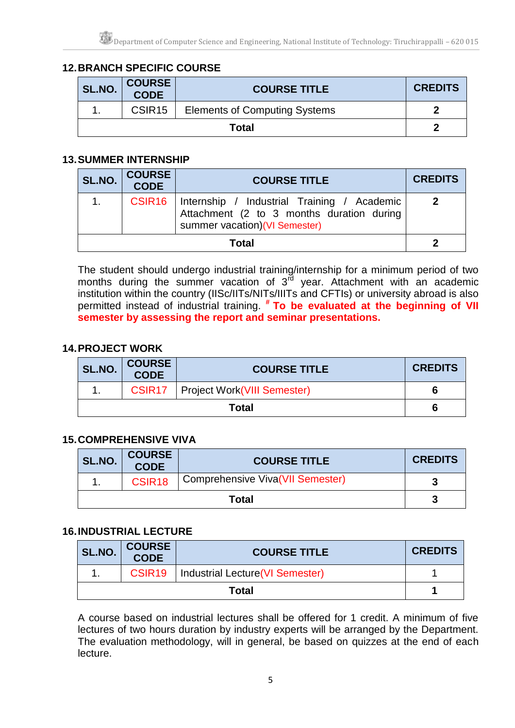# **12.BRANCH SPECIFIC COURSE**

| SL.NO. | <b>COURSE<br/>CODE</b> | <b>COURSE TITLE</b>                  | <b>CREDITS</b> |
|--------|------------------------|--------------------------------------|----------------|
|        | CSIR <sub>15</sub>     | <b>Elements of Computing Systems</b> |                |
|        |                        | <b>Total</b>                         |                |

### **13.SUMMER INTERNSHIP**

| SL.NO. | <b>COURSE</b>      | <b>COURSE TITLE</b>                                                                                                       | <b>CREDITS</b> |
|--------|--------------------|---------------------------------------------------------------------------------------------------------------------------|----------------|
| 1.     | CSIR <sub>16</sub> | Internship / Industrial Training / Academic<br>Attachment (2 to 3 months duration during<br>summer vacation)(VI Semester) |                |
|        |                    | <b>Total</b>                                                                                                              |                |

The student should undergo industrial training/internship for a minimum period of two months during the summer vacation of 3<sup>rd</sup> year. Attachment with an academic institution within the country (IISc/IITs/NITs/IIITs and CFTIs) or university abroad is also permitted instead of industrial training. *#* **To be evaluated at the beginning of VII semester by assessing the report and seminar presentations.**

### **14.PROJECT WORK**

| SL.NO. | <b>COURSE<br/>CODE</b> | <b>COURSE TITLE</b>                         | <b>CREDITS</b> |
|--------|------------------------|---------------------------------------------|----------------|
|        |                        | <b>CSIR17</b>   Project Work(VIII Semester) |                |
|        |                        | <b>Total</b>                                |                |

### **15.COMPREHENSIVE VIVA**

| SL.NO. | <b>COURSE<br/>CODE</b> | <b>COURSE TITLE</b>              | <b>CREDITS</b> |
|--------|------------------------|----------------------------------|----------------|
|        | CSIR <sub>18</sub>     | Comprehensive Viva(VII Semester) |                |
|        |                        | Total                            |                |

### **16.INDUSTRIAL LECTURE**

| SL.NO. | <b>COURSE<br/>CODE</b> | <b>COURSE TITLE</b>              | <b>CREDITS</b> |
|--------|------------------------|----------------------------------|----------------|
|        | CSIR <sub>19</sub>     | Industrial Lecture (VI Semester) |                |
| Total  |                        |                                  |                |

A course based on industrial lectures shall be offered for 1 credit. A minimum of five lectures of two hours duration by industry experts will be arranged by the Department. The evaluation methodology, will in general, be based on quizzes at the end of each lecture.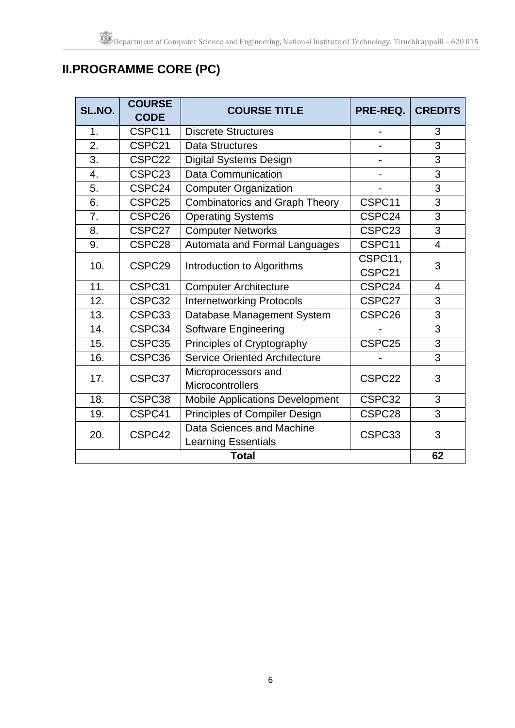# **II.PROGRAMME CORE (PC)**

| SL.NO.           | <b>COURSE</b><br><b>CODE</b> | <b>COURSE TITLE</b>                    | PRE-REQ.                 | <b>CREDITS</b> |
|------------------|------------------------------|----------------------------------------|--------------------------|----------------|
| 1.               | CSPC11                       | <b>Discrete Structures</b>             |                          | 3              |
| $\overline{2}$ . | CSPC21                       | <b>Data Structures</b>                 | $\overline{\phantom{0}}$ | 3              |
| 3.               | CSPC22                       | <b>Digital Systems Design</b>          |                          | 3              |
| 4.               | CSPC <sub>23</sub>           | Data Communication                     |                          | 3              |
| 5.               | CSPC24                       | <b>Computer Organization</b>           |                          | 3              |
| 6.               | CSPC25                       | <b>Combinatorics and Graph Theory</b>  | CSPC11                   | 3              |
| 7.               | CSPC26                       | <b>Operating Systems</b>               | CSPC24                   | 3              |
| 8.               | CSPC27                       | <b>Computer Networks</b>               | CSPC23                   | 3              |
| 9.               | CSPC28                       | Automata and Formal Languages          | CSPC11                   | $\overline{4}$ |
| 10.              | CSPC <sub>29</sub>           | Introduction to Algorithms             | CSPC11,                  | 3              |
|                  |                              |                                        | CSPC21                   |                |
| 11.              | CSPC31                       | <b>Computer Architecture</b>           | CSPC24                   | $\overline{4}$ |
| 12.              | CSPC32                       | <b>Internetworking Protocols</b>       | CSPC27                   | 3              |
| 13.              | CSPC33                       | Database Management System             | CSPC26                   | 3              |
| 14.              | CSPC34                       | <b>Software Engineering</b>            |                          | 3              |
| 15.              | CSPC35                       | Principles of Cryptography             | CSPC25                   | 3              |
| 16.              | CSPC36                       | <b>Service Oriented Architecture</b>   |                          | 3              |
| 17.              | CSPC37                       | Microprocessors and                    | CSPC22                   | 3              |
|                  |                              | Microcontrollers                       |                          |                |
| 18.              | CSPC38                       | <b>Mobile Applications Development</b> | CSPC32                   | 3              |
| 19.              | CSPC41                       | Principles of Compiler Design          | CSPC28                   | 3              |
| 20.              | CSPC42                       | Data Sciences and Machine              | CSPC33                   | 3              |
|                  |                              | <b>Learning Essentials</b>             |                          |                |
| <b>Total</b>     |                              |                                        |                          |                |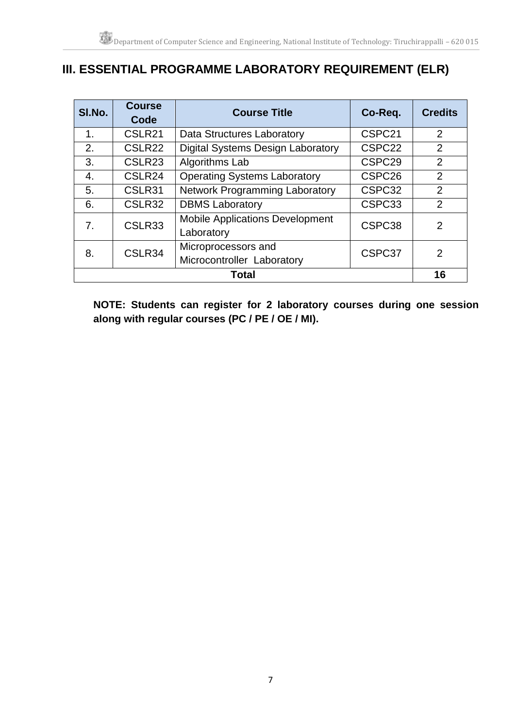# **III. ESSENTIAL PROGRAMME LABORATORY REQUIREMENT (ELR)**

| SI.No.         | <b>Course</b><br>Code | <b>Course Title</b>                                  | Co-Req.            | <b>Credits</b> |
|----------------|-----------------------|------------------------------------------------------|--------------------|----------------|
| 1 <sub>1</sub> | CSLR21                | Data Structures Laboratory                           | CSPC21             | $\overline{2}$ |
| 2.             | CSLR <sub>22</sub>    | <b>Digital Systems Design Laboratory</b>             | CSPC <sub>22</sub> | $\overline{2}$ |
| 3.             | CSLR <sub>23</sub>    | Algorithms Lab                                       | CSPC <sub>29</sub> | $\overline{2}$ |
| 4.             | CSLR24                | <b>Operating Systems Laboratory</b>                  | CSPC <sub>26</sub> | $\overline{2}$ |
| 5.             | CSLR31                | <b>Network Programming Laboratory</b>                | CSPC32             | $\overline{2}$ |
| 6.             | CSLR32                | <b>DBMS Laboratory</b>                               | CSPC33             | $\overline{2}$ |
| 7.             | CSLR33                | <b>Mobile Applications Development</b><br>Laboratory | CSPC <sub>38</sub> | 2              |
| 8.             | CSLR34                | Microprocessors and<br>Microcontroller Laboratory    | CSPC37             | 2              |
| <b>Total</b>   |                       |                                                      |                    |                |

**NOTE: Students can register for 2 laboratory courses during one session along with regular courses (PC / PE / OE / MI).**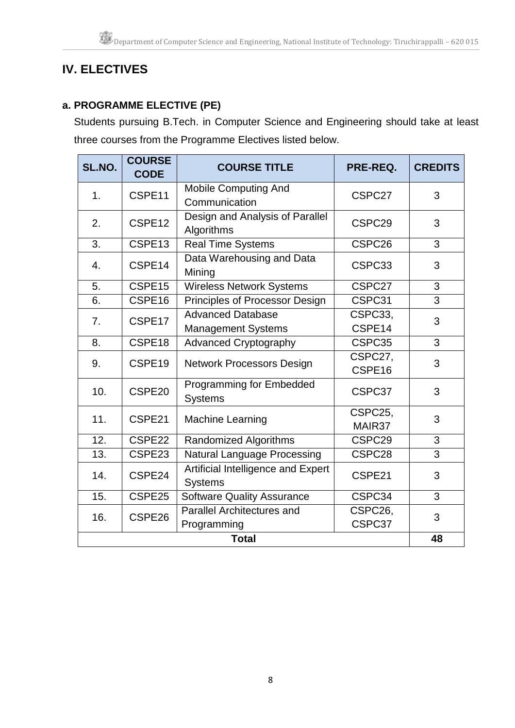# **IV. ELECTIVES**

# **a. PROGRAMME ELECTIVE (PE)**

Students pursuing B.Tech. in Computer Science and Engineering should take at least three courses from the Programme Electives listed below.

| SL.NO.       | <b>COURSE</b><br><b>CODE</b> | <b>COURSE TITLE</b>                                  | PRE-REQ.           | <b>CREDITS</b> |
|--------------|------------------------------|------------------------------------------------------|--------------------|----------------|
| 1.           | CSPE11                       | <b>Mobile Computing And</b><br>Communication         | CSPC27             | 3              |
| 2.           | CSPE <sub>12</sub>           | Design and Analysis of Parallel<br>Algorithms        | CSPC <sub>29</sub> | 3              |
| 3.           | CSPE13                       | <b>Real Time Systems</b>                             | CSPC <sub>26</sub> | 3              |
| 4.           | CSPE14                       | Data Warehousing and Data<br>Mining                  | CSPC33             | 3              |
| 5.           | CSPE15                       | Wireless Network Systems                             | CSPC27             | 3              |
| 6.           | CSPE16                       | Principles of Processor Design                       | CSPC31             | 3              |
| 7.           | CSPE17                       | <b>Advanced Database</b>                             | CSPC33,            | 3              |
|              |                              | <b>Management Systems</b>                            | CSPE14             |                |
| 8.           | CSPE18                       | <b>Advanced Cryptography</b>                         | CSPC35             | 3              |
| 9.           | CSPE19                       | <b>Network Processors Design</b>                     | CSPC27,<br>CSPE16  | 3              |
| 10.          | CSPE <sub>20</sub>           | Programming for Embedded<br><b>Systems</b>           | CSPC37             | 3              |
| 11.          | CSPE21                       | <b>Machine Learning</b>                              | CSPC25,<br>MAIR37  | 3              |
| 12.          | CSPE22                       | Randomized Algorithms                                | CSPC29             | 3              |
| 13.          | CSPE23                       | <b>Natural Language Processing</b>                   | CSPC28             | 3              |
| 14.          | CSPE24                       | Artificial Intelligence and Expert<br><b>Systems</b> | CSPE21             | 3              |
| 15.          | CSPE25                       | Software Quality Assurance                           | CSPC34             | 3              |
| 16.          | CSPE26                       | <b>Parallel Architectures and</b><br>Programming     | CSPC26,<br>CSPC37  | 3<br>48        |
| <b>Total</b> |                              |                                                      |                    |                |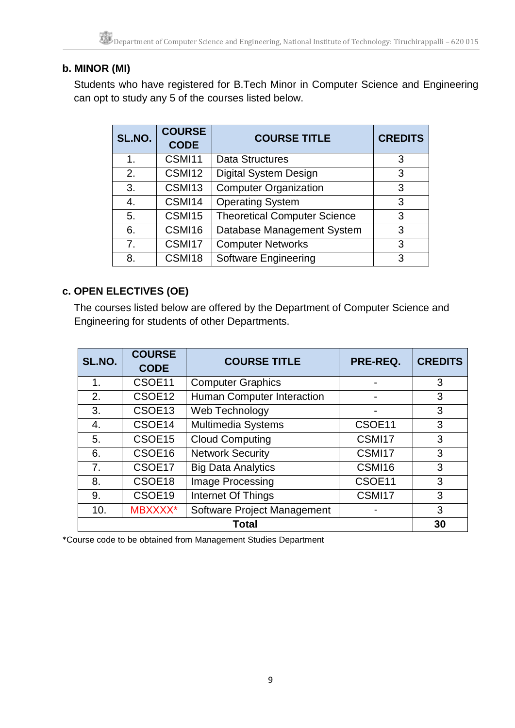# **b. MINOR (MI)**

Students who have registered for B.Tech Minor in Computer Science and Engineering can opt to study any 5 of the courses listed below.

| SL.NO. | <b>COURSE</b><br><b>CODE</b> | <b>COURSE TITLE</b>                 | <b>CREDITS</b> |
|--------|------------------------------|-------------------------------------|----------------|
| 1.     | CSMI11                       | Data Structures                     | 3              |
| 2.     | CSMI12                       | <b>Digital System Design</b>        | 3              |
| 3.     | CSMI13                       | <b>Computer Organization</b>        | 3              |
| 4.     | CSMI14                       | <b>Operating System</b>             | 3              |
| 5.     | CSMI15                       | <b>Theoretical Computer Science</b> | 3              |
| 6.     | CSMI16                       | Database Management System          | 3              |
| 7.     | CSMI17                       | <b>Computer Networks</b>            | 3              |
| 8.     | CSMI18                       | Software Engineering                | 3              |

## **c. OPEN ELECTIVES (OE)**

The courses listed below are offered by the Department of Computer Science and Engineering for students of other Departments.

| SL.NO.       | <b>COURSE</b><br><b>CODE</b> | <b>COURSE TITLE</b>         | PRE-REQ. | <b>CREDITS</b> |
|--------------|------------------------------|-----------------------------|----------|----------------|
| 1.           | CSOE11                       | <b>Computer Graphics</b>    |          | 3              |
| 2.           | CSOE <sub>12</sub>           | Human Computer Interaction  |          | 3              |
| 3.           | CSOE <sub>13</sub>           | Web Technology              |          | 3              |
| 4.           | CSOE14                       | <b>Multimedia Systems</b>   | CSOE11   | 3              |
| 5.           | CSOE <sub>15</sub>           | <b>Cloud Computing</b>      | CSMI17   | 3              |
| 6.           | CSOE16                       | <b>Network Security</b>     | CSMI17   | 3              |
| 7.           | CSOE17                       | <b>Big Data Analytics</b>   | CSMI16   | 3              |
| 8.           | CSOE18                       | Image Processing            | CSOE11   | 3              |
| 9.           | CSOE19                       | Internet Of Things          | CSMI17   | 3              |
| 10.          | MBXXXX*                      | Software Project Management |          | 3              |
| <b>Total</b> |                              |                             |          |                |

\*Course code to be obtained from Management Studies Department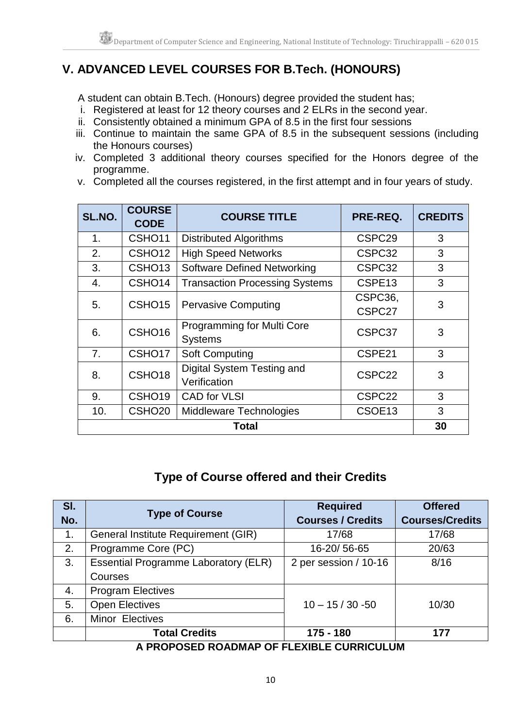# **V. ADVANCED LEVEL COURSES FOR B.Tech. (HONOURS)**

A student can obtain B.Tech. (Honours) degree provided the student has;

- i. Registered at least for 12 theory courses and 2 ELRs in the second year.
- ii. Consistently obtained a minimum GPA of 8.5 in the first four sessions
- iii. Continue to maintain the same GPA of 8.5 in the subsequent sessions (including the Honours courses)
- iv. Completed 3 additional theory courses specified for the Honors degree of the programme.
- v. Completed all the courses registered, in the first attempt and in four years of study.

| SL.NO.        | <b>COURSE</b><br><b>CODE</b> | <b>COURSE TITLE</b>                          | PRE-REQ.           | <b>CREDITS</b> |
|---------------|------------------------------|----------------------------------------------|--------------------|----------------|
| $\mathbf 1$ . | CSHO <sub>11</sub>           | <b>Distributed Algorithms</b>                | CSPC <sub>29</sub> | 3              |
| 2.            | CSHO <sub>12</sub>           | <b>High Speed Networks</b>                   | CSPC32             | 3              |
| 3.            | CSHO <sub>13</sub>           | <b>Software Defined Networking</b>           | CSPC32             | 3              |
| 4.            | CSHO <sub>14</sub>           | <b>Transaction Processing Systems</b>        | CSPE <sub>13</sub> | 3              |
| 5.            | CSHO <sub>15</sub>           | <b>Pervasive Computing</b>                   | CSPC36,<br>CSPC27  | 3              |
| 6.            | CSHO <sub>16</sub>           | Programming for Multi Core<br><b>Systems</b> | CSPC37             | 3              |
| 7.            | CSHO <sub>17</sub>           | <b>Soft Computing</b>                        | CSPE21             | 3              |
| 8.            | CSHO <sub>18</sub>           | Digital System Testing and<br>Verification   | CSPC22             | 3              |
| 9.            | CSHO <sub>19</sub>           | <b>CAD for VLSI</b>                          | CSPC <sub>22</sub> | 3              |
| 10.           | CSHO <sub>20</sub>           | Middleware Technologies                      | CSOE13             | 3              |
| Total         |                              |                                              |                    |                |

# **Type of Course offered and their Credits**

| SI.            | <b>Type of Course</b>                       | <b>Required</b>          | <b>Offered</b>         |
|----------------|---------------------------------------------|--------------------------|------------------------|
| No.            |                                             | <b>Courses / Credits</b> | <b>Courses/Credits</b> |
| $\mathbf{1}$ . | General Institute Requirement (GIR)         | 17/68                    | 17/68                  |
| 2.             | Programme Core (PC)                         | 16-20/56-65              | 20/63                  |
| 3.             | <b>Essential Programme Laboratory (ELR)</b> | 2 per session / 10-16    | 8/16                   |
|                | Courses                                     |                          |                        |
| 4.             | <b>Program Electives</b>                    |                          |                        |
| 5.             | <b>Open Electives</b>                       | $10 - 15 / 30 - 50$      | 10/30                  |
| 6.             | Minor Electives                             |                          |                        |
|                | <b>Total Credits</b>                        | 175 - 180                | 177                    |
|                | $\lambda$ brabacth balbula                  | F AUDRIAUL UM            |                        |

### **A PROPOSED ROADMAP OF FLEXIBLE CURRICULUM**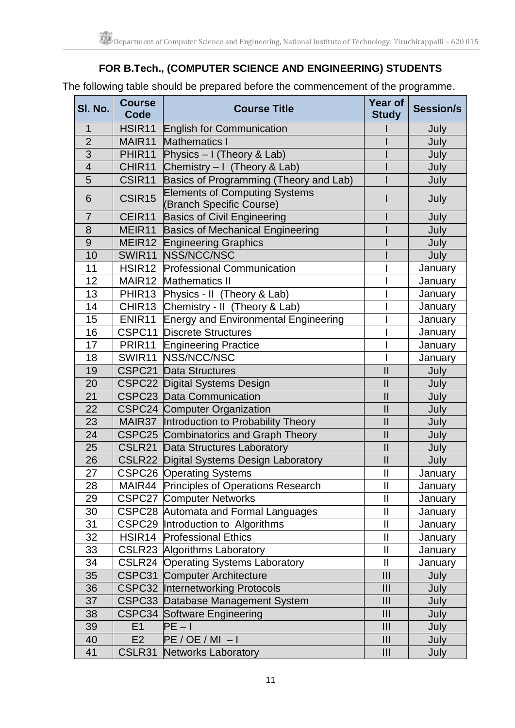# **FOR B.Tech., (COMPUTER SCIENCE AND ENGINEERING) STUDENTS**

The following table should be prepared before the commencement of the programme.

| SI. No.        | <b>Course</b><br>Code | <b>Course Title</b>                                              | <b>Year of</b><br><b>Study</b> | <b>Session/s</b> |
|----------------|-----------------------|------------------------------------------------------------------|--------------------------------|------------------|
| $\mathbf 1$    | HSIR <sub>11</sub>    | <b>English for Communication</b>                                 |                                | July             |
| $\overline{2}$ | MAIR11                | <b>Mathematics I</b>                                             |                                | July             |
| 3              | PHIR <sub>11</sub>    | Physics - I (Theory & Lab)                                       |                                | July             |
| $\overline{4}$ | CHIR11                | Chemistry - I (Theory & Lab)                                     |                                | July             |
| 5              | CSIR11                | Basics of Programming (Theory and Lab)                           |                                | July             |
| 6              | CSIR <sub>15</sub>    | <b>Elements of Computing Systems</b><br>(Branch Specific Course) |                                | July             |
| $\overline{7}$ | CEIR11                | <b>Basics of Civil Engineering</b>                               |                                | July             |
| 8              | MEIR11                | <b>Basics of Mechanical Engineering</b>                          |                                | July             |
| 9              |                       | <b>MEIR12 Engineering Graphics</b>                               |                                | July             |
| 10             | SWIR11                | NSS/NCC/NSC                                                      |                                | July             |
| 11             | HSIR <sub>12</sub>    | Professional Communication                                       |                                | January          |
| 12             | MAIR12                | <b>Mathematics II</b>                                            |                                | January          |
| 13             | PHIR13                | Physics - II (Theory & Lab)                                      |                                | January          |
| 14             | CHIR13                | Chemistry - II (Theory & Lab)                                    |                                | January          |
| 15             | ENIR <sub>11</sub>    | <b>Energy and Environmental Engineering</b>                      |                                | January          |
| 16             |                       | <b>CSPC11 Discrete Structures</b>                                |                                | January          |
| 17             | PRIR11                | <b>Engineering Practice</b>                                      |                                | January          |
| 18             | SWIR11                | NSS/NCC/NSC                                                      |                                | January          |
| 19             | CSPC21                | <b>Data Structures</b>                                           | $\mathbf{I}$                   | July             |
| 20             |                       | <b>CSPC22 Digital Systems Design</b>                             | $\mathbf{I}$                   | July             |
| 21             |                       | <b>CSPC23 Data Communication</b>                                 | $\mathbf{I}$                   | July             |
| 22             |                       | <b>CSPC24 Computer Organization</b>                              | $\mathbf{I}$                   | July             |
| 23             |                       | MAIR37  Introduction to Probability Theory                       | $\mathbf{I}$                   | July             |
| 24             |                       | CSPC25 Combinatorics and Graph Theory                            | $\mathbf{I}$                   | July             |
| 25             |                       | <b>CSLR21</b> Data Structures Laboratory                         | $\mathbf{I}$                   | July             |
| 26             |                       | <b>CSLR22</b> Digital Systems Design Laboratory                  | $\mathbf{I}$                   | July             |
| 27             |                       | <b>CSPC26 Operating Systems</b>                                  | $\mathbf{I}$                   | January          |
| 28             | MAIR44                | <b>Principles of Operations Research</b>                         | Ш                              | January          |
| 29             |                       | <b>CSPC27 Computer Networks</b>                                  | $\mathbf{I}$                   | January          |
| 30             |                       | CSPC28 Automata and Formal Languages                             | $\mathbf{I}$                   | January          |
| 31             |                       | CSPC29 Introduction to Algorithms                                | $\mathbf{II}$                  | January          |
| 32             | HSIR14                | <b>Professional Ethics</b>                                       | $\mathbf{I}$                   | January          |
| 33             |                       | <b>CSLR23 Algorithms Laboratory</b>                              | $\mathbf{II}$                  | January          |
| 34             |                       | <b>CSLR24 Operating Systems Laboratory</b>                       | $\mathbf{II}$                  | January          |
| 35             |                       | <b>CSPC31 Computer Architecture</b>                              | III                            | July             |
| 36             |                       | <b>CSPC32 Internetworking Protocols</b>                          | III                            | July             |
| 37             |                       | CSPC33 Database Management System                                | III                            | July             |
| 38             |                       | <b>CSPC34 Software Engineering</b>                               | III                            | July             |
| 39             | E1                    | $PE - I$                                                         | III                            | July             |
| 40             | E2                    | $PE / OE / MI - I$                                               | III                            | July             |
| 41             | CSLR31                | <b>Networks Laboratory</b>                                       | III                            | July             |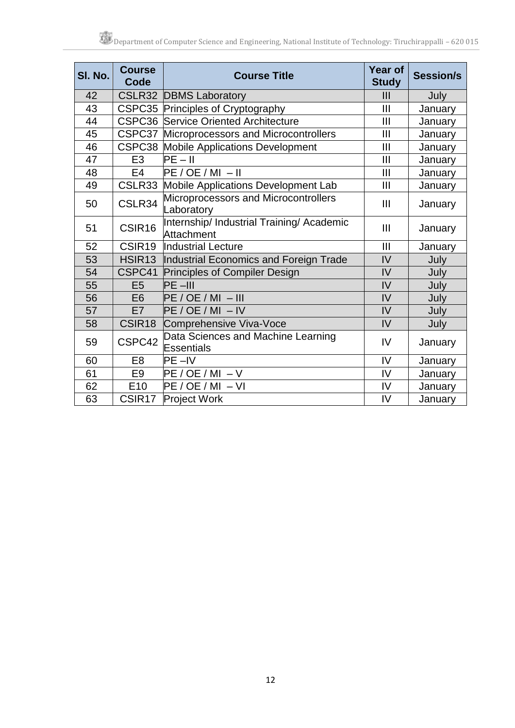| SI. No. | <b>Course</b><br>Code | <b>Course Title</b>                                     | <b>Year of</b><br><b>Study</b> | <b>Session/s</b> |
|---------|-----------------------|---------------------------------------------------------|--------------------------------|------------------|
| 42      |                       | <b>CSLR32 DBMS Laboratory</b>                           | III                            | July             |
| 43      |                       | CSPC35 Principles of Cryptography                       | III                            | January          |
| 44      |                       | <b>CSPC36 Service Oriented Architecture</b>             | III                            | January          |
| 45      | CSPC37                | Microprocessors and Microcontrollers                    | III                            | January          |
| 46      |                       | <b>CSPC38 Mobile Applications Development</b>           | III                            | January          |
| 47      | E <sub>3</sub>        | $PE - II$                                               | Ш                              | January          |
| 48      | E <sub>4</sub>        | $PE / OE / MI - II$                                     | III                            | January          |
| 49      | CSLR33                | <b>Mobile Applications Development Lab</b>              | Ш                              | January          |
| 50      | CSLR34                | Microprocessors and Microcontrollers<br>Laboratory      | Ш                              | January          |
| 51      | CSIR <sub>16</sub>    | Internship/ Industrial Training/ Academic<br>Attachment | Ш                              | January          |
| 52      | CSIR <sub>19</sub>    | Industrial Lecture                                      | Ш                              | January          |
| 53      | HSIR <sub>13</sub>    | Industrial Economics and Foreign Trade                  | IV                             | July             |
| 54      | CSPC41                | Principles of Compiler Design                           | IV                             | July             |
| 55      | E <sub>5</sub>        | $PE -III$                                               | IV                             | July             |
| 56      | E <sub>6</sub>        | $PE / OE / MI - III$                                    | IV                             | July             |
| 57      | E7                    | $PE / OE / MI - IV$                                     | IV                             | July             |
| 58      | CSIR18                | Comprehensive Viva-Voce                                 | IV                             | July             |
| 59      | CSPC42                | Data Sciences and Machine Learning<br>Essentials        | IV                             | January          |
| 60      | E <sub>8</sub>        | $PE - IV$                                               | IV                             | January          |
| 61      | E <sub>9</sub>        | $PE / OE / MI - V$                                      | IV                             | January          |
| 62      | E10                   | $PE / OE / MI - VI$                                     | IV                             | January          |
| 63      | CSIR <sub>17</sub>    | Project Work                                            | IV                             | January          |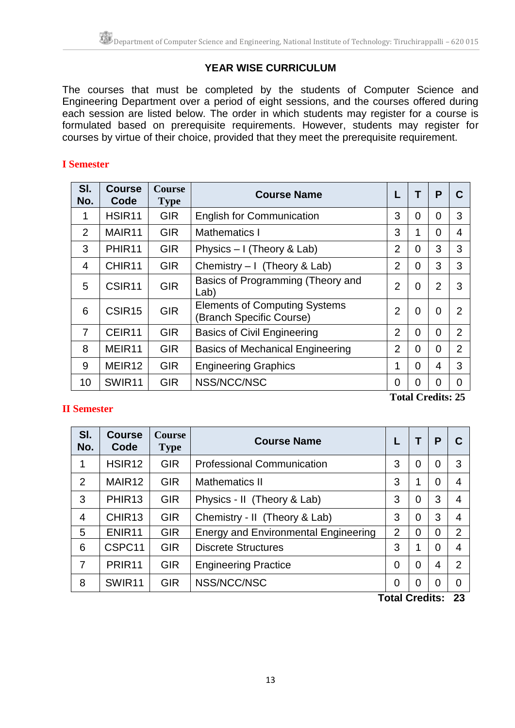## **YEAR WISE CURRICULUM**

The courses that must be completed by the students of Computer Science and Engineering Department over a period of eight sessions, and the courses offered during each session are listed below. The order in which students may register for a course is formulated based on prerequisite requirements. However, students may register for courses by virtue of their choice, provided that they meet the prerequisite requirement.

#### **I Semester**

| SI.<br>No.     | <b>Course</b><br>Code | <b>Course</b><br><b>Type</b> | <b>Course Name</b>                                               |                |          | P              |                |
|----------------|-----------------------|------------------------------|------------------------------------------------------------------|----------------|----------|----------------|----------------|
| 1              | HSIR <sub>11</sub>    | <b>GIR</b>                   | <b>English for Communication</b>                                 | 3              | 0        | 0              | 3              |
| 2              | MAIR11                | <b>GIR</b>                   | <b>Mathematics I</b>                                             | 3              |          | $\Omega$       | 4              |
| 3              | PHIR <sub>11</sub>    | <b>GIR</b>                   | Physics - I (Theory & Lab)                                       | $\overline{2}$ | 0        | 3              | 3              |
| 4              | CHIR <sub>11</sub>    | <b>GIR</b>                   | Chemistry $-1$ (Theory & Lab)                                    | $\overline{2}$ | 0        | 3              | 3              |
| 5              | CSIR <sub>11</sub>    | <b>GIR</b>                   | Basics of Programming (Theory and<br>Lab)                        | $\overline{2}$ | 0        | $\overline{2}$ | 3              |
| 6              | CSIR <sub>15</sub>    | <b>GIR</b>                   | <b>Elements of Computing Systems</b><br>(Branch Specific Course) | $\overline{2}$ | 0        | 0              | $\overline{2}$ |
| $\overline{7}$ | CEIR11                | <b>GIR</b>                   | <b>Basics of Civil Engineering</b>                               | $\overline{2}$ | 0        | $\Omega$       | $\overline{2}$ |
| 8              | MEIR <sub>11</sub>    | <b>GIR</b>                   | <b>Basics of Mechanical Engineering</b>                          | 2              | 0        | 0              | $\overline{2}$ |
| 9              | MEIR <sub>12</sub>    | <b>GIR</b>                   | <b>Engineering Graphics</b>                                      | 1              | $\Omega$ | 4              | 3              |
| 10             | SWIR11                | <b>GIR</b>                   | NSS/NCC/NSC                                                      | 0              | 0        | 0              | 0              |

### **II Semester**

**Total Credits: 25**

| SI.<br>No.     | <b>Course</b><br>Code | <b>Course</b><br><b>Type</b> | <b>Course Name</b>                          |                |          | P              | C              |
|----------------|-----------------------|------------------------------|---------------------------------------------|----------------|----------|----------------|----------------|
| 1              | HSIR <sub>12</sub>    | <b>GIR</b>                   | <b>Professional Communication</b>           | 3              | 0        | 0              | 3              |
| $\overline{2}$ | MAIR <sub>12</sub>    | <b>GIR</b>                   | <b>Mathematics II</b>                       | 3              | 1        | 0              | $\overline{4}$ |
| 3              | PHIR <sub>13</sub>    | <b>GIR</b>                   | Physics - II (Theory & Lab)                 | 3              | 0        | 3              | $\overline{4}$ |
| $\overline{4}$ | CHIR <sub>13</sub>    | <b>GIR</b>                   | Chemistry - II (Theory & Lab)               | 3              | $\Omega$ | 3              | $\overline{4}$ |
| 5              | ENIR <sub>11</sub>    | <b>GIR</b>                   | <b>Energy and Environmental Engineering</b> | $\overline{2}$ | 0        | $\overline{0}$ | 2              |
| 6              | CSPC11                | <b>GIR</b>                   | <b>Discrete Structures</b>                  | 3              | 1        | 0              | 4              |
| 7              | PRIR <sub>11</sub>    | <b>GIR</b>                   | <b>Engineering Practice</b>                 | 0              | 0        | 4              | $\overline{2}$ |
| 8              | SWIR11                | <b>GIR</b>                   | NSS/NCC/NSC                                 | 0              | 0        | $\overline{0}$ | $\overline{0}$ |
|                |                       |                              |                                             | エネキュレ ヘッネスはんち  |          |                | ົ              |

**Total Credits: 23**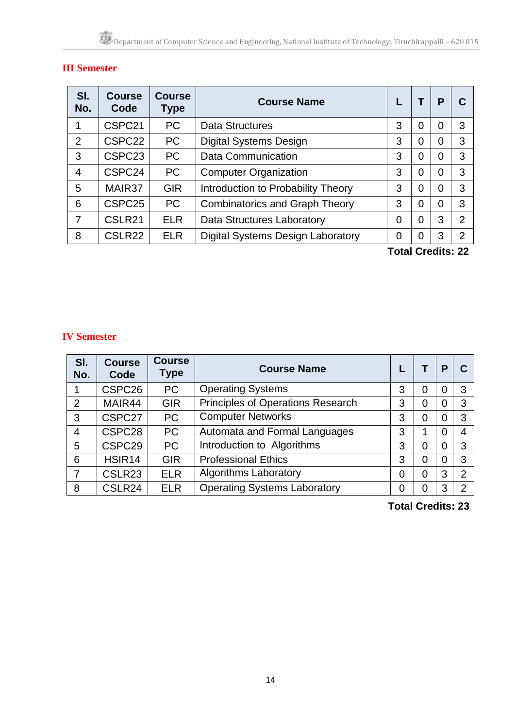# **III Semester**

| SI.<br>No.     | <b>Course</b><br>Code | <b>Course</b><br>Type | <b>Course Name</b>                       |   |   | P |                |
|----------------|-----------------------|-----------------------|------------------------------------------|---|---|---|----------------|
|                | CSPC21                | <b>PC</b>             | Data Structures                          | 3 | 0 | 0 | 3              |
| $\overline{2}$ | CSPC22                | <b>PC</b>             | <b>Digital Systems Design</b>            | 3 | 0 | 0 | 3              |
| 3              | CSPC <sub>23</sub>    | <b>PC</b>             | <b>Data Communication</b>                | 3 | 0 | 0 | 3              |
| 4              | CSPC24                | <b>PC</b>             | <b>Computer Organization</b>             | 3 | 0 | 0 | 3              |
| 5              | MAIR37                | <b>GIR</b>            | Introduction to Probability Theory       | 3 | 0 | 0 | 3              |
| 6              | CSPC <sub>25</sub>    | <b>PC</b>             | <b>Combinatorics and Graph Theory</b>    | 3 | 0 | 0 | 3              |
|                | CSLR21                | <b>ELR</b>            | <b>Data Structures Laboratory</b>        | 0 | 0 | 3 | 2              |
| 8              | CSLR22                | <b>ELR</b>            | <b>Digital Systems Design Laboratory</b> | 0 | 0 | 3 | $\overline{2}$ |
|                |                       |                       |                                          |   |   |   |                |

**Total Credits: 22**

#### **IV Semester**

| SI.<br>No.     | <b>Course</b><br>Code | <b>Course</b><br><b>Type</b> | <b>Course Name</b>                  |   |   | Р |   |
|----------------|-----------------------|------------------------------|-------------------------------------|---|---|---|---|
|                | CSPC <sub>26</sub>    | <b>PC</b>                    | <b>Operating Systems</b>            | 3 | 0 |   | 3 |
| $\overline{2}$ | MAIR44                | <b>GIR</b>                   | Principles of Operations Research   | 3 | 0 | 0 | 3 |
| 3              | CSPC <sub>27</sub>    | <b>PC</b>                    | <b>Computer Networks</b>            | 3 | 0 | 0 | 3 |
| 4              | CSPC <sub>28</sub>    | <b>PC</b>                    | Automata and Formal Languages       | 3 | 1 | 0 | 4 |
| 5              | CSPC29                | <b>PC</b>                    | Introduction to Algorithms          | 3 | 0 | 0 | 3 |
| 6              | HSIR <sub>14</sub>    | <b>GIR</b>                   | <b>Professional Ethics</b>          | 3 | 0 |   | 3 |
| 7              | CSLR <sub>23</sub>    | <b>ELR</b>                   | <b>Algorithms Laboratory</b>        | 0 | 0 | 3 | 2 |
| 8              | CSLR24                | <b>ELR</b>                   | <b>Operating Systems Laboratory</b> | 0 | 0 | 3 | າ |

**Total Credits: 23**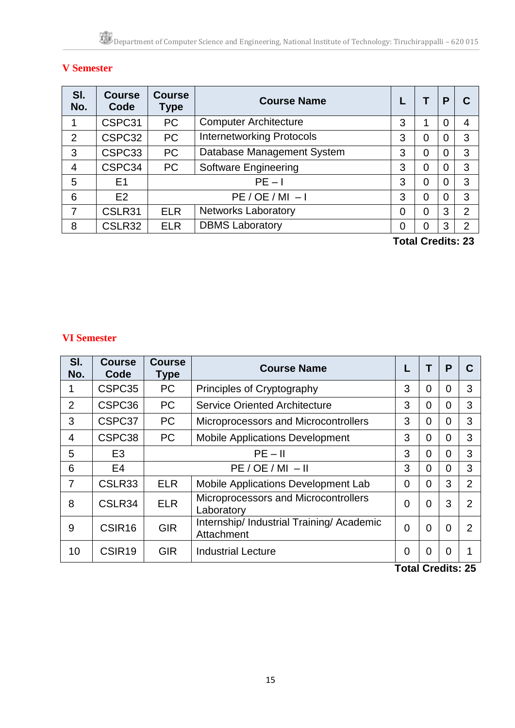# **V Semester**

| SI.<br>No.     | <b>Course</b><br>Code | <b>Course</b><br>Type | <b>Course Name</b>               |          |   | P              |                |
|----------------|-----------------------|-----------------------|----------------------------------|----------|---|----------------|----------------|
|                | CSPC31                | <b>PC</b>             | <b>Computer Architecture</b>     | 3        |   | 0              | 4              |
| $\overline{2}$ | CSPC32                | <b>PC</b>             | <b>Internetworking Protocols</b> | 3        | 0 | 0              | 3              |
| 3              | CSPC33                | <b>PC</b>             | Database Management System       | 3        | 0 | 0              | 3              |
| 4              | CSPC34                | <b>PC</b>             | <b>Software Engineering</b>      | 3        | 0 | $\overline{0}$ | 3              |
| 5              | E <sub>1</sub>        |                       | $PE - 1$                         | 3        | 0 | 0              | 3              |
| 6              | E2                    |                       | $PE / OE / MI - I$               |          |   |                | 3              |
|                | CSLR31                | <b>ELR</b>            | <b>Networks Laboratory</b>       | $\Omega$ | 0 | 3              | $\overline{2}$ |
| 8              | CSLR32                | <b>ELR</b>            | <b>DBMS Laboratory</b>           | 0        |   | 3              | $\overline{2}$ |
|                |                       |                       |                                  |          |   | .              |                |

**Total Credits: 23**

### **VI Semester**

| SI.<br>No.     | <b>Course</b><br>Code | <b>Course</b><br><b>Type</b> | <b>Course Name</b>                                      |                | Τ              | Р         |                |
|----------------|-----------------------|------------------------------|---------------------------------------------------------|----------------|----------------|-----------|----------------|
| 1              | CSPC35                | <b>PC</b>                    | Principles of Cryptography                              | 3              | 0              | 0         | 3              |
| $\overline{2}$ | CSPC36                | <b>PC</b>                    | <b>Service Oriented Architecture</b>                    | 3              | 0              | 0         | 3              |
| 3              | CSPC37                | <b>PC</b>                    | Microprocessors and Microcontrollers                    | 3              | 0              | 0         | 3              |
| 4              | CSPC38                | <b>PC</b>                    | <b>Mobile Applications Development</b>                  | 3              | 0              | 0         | 3              |
| 5              | E <sub>3</sub>        |                              | $PE - II$                                               | 3              | 0              | 0         | 3              |
| 6              | E <sub>4</sub>        |                              | $PE / OE / MI - II$                                     |                |                |           | 3              |
|                | CSLR33                | <b>ELR</b>                   | Mobile Applications Development Lab                     | $\overline{0}$ | 0              | 3         | $\overline{2}$ |
| 8              | CSLR34                | <b>ELR</b>                   | Microprocessors and Microcontrollers<br>Laboratory      | $\overline{0}$ | 0              | 3         | $\overline{2}$ |
| 9              | CSIR <sub>16</sub>    | <b>GIR</b>                   | Internship/ Industrial Training/ Academic<br>Attachment | $\overline{0}$ | $\overline{0}$ | 0         | 2              |
| 10             | CSIR <sub>19</sub>    | <b>GIR</b>                   | <b>Industrial Lecture</b>                               | 0<br>T-1-1 A   | 0              | 0<br>-154 | Ωг             |

**Total Credits: 25**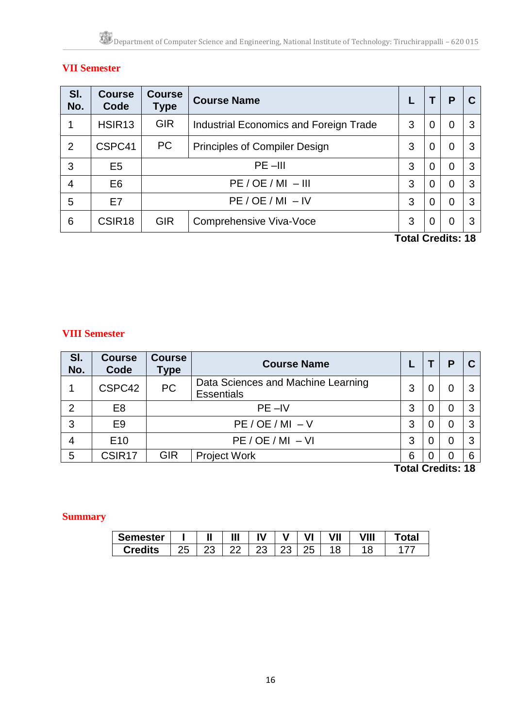# **VII Semester**

| <b>Course</b><br>Code | <b>Course</b><br>Type | <b>Course Name</b>                            |   |        | P              |                                               |
|-----------------------|-----------------------|-----------------------------------------------|---|--------|----------------|-----------------------------------------------|
| HSIR <sub>13</sub>    | <b>GIR</b>            | <b>Industrial Economics and Foreign Trade</b> | 3 | 0      | 0              | 3                                             |
| CSPC41                | <b>PC</b>             | <b>Principles of Compiler Design</b>          | 3 | 0      | 0              | 3                                             |
| E <sub>5</sub>        |                       | $PE$ $-III$                                   |   |        |                | 3                                             |
| E <sub>6</sub>        |                       | $PE / OE / MI - III$                          | 3 | 0      | $\overline{0}$ | 3                                             |
| E7                    |                       | $PE / OE / MI - IV$                           |   |        |                | 3                                             |
| CSIR <sub>18</sub>    | <b>GIR</b>            | Comprehensive Viva-Voce                       | 3 | 0      | $\overline{0}$ | 3                                             |
|                       |                       |                                               |   | 3<br>3 | 0<br>$\Omega$  | 0<br>$\Omega$<br>$T_{\alpha}$ ial Cradita: 40 |

**Total Credits: 18**

### **VIII Semester**

| SI.<br>No. | <b>Course</b><br>Code | <b>Course</b><br><b>Type</b> | <b>Course Name</b>                                      |   |   | Р                   |   |
|------------|-----------------------|------------------------------|---------------------------------------------------------|---|---|---------------------|---|
|            | CSPC42                | <b>PC</b>                    | Data Sciences and Machine Learning<br><b>Essentials</b> | 3 | 0 |                     |   |
| っ          | E <sub>8</sub>        |                              | $PE - IV$                                               |   |   |                     | ⌒ |
| 3          | E <sub>9</sub>        |                              | $PE / OE / MI - V$                                      |   |   |                     |   |
|            | E <sub>10</sub>       |                              | $PE / OE / MI - VI$                                     | 3 | 0 | 0                   |   |
| 5          | CSIR <sub>17</sub>    | <b>GIR</b>                   | <b>Project Work</b>                                     | 6 | 0 | 0<br>エンシー ヘッドボード すい |   |

**Total Credits: 18**

### **Summary**

| <b>Semester</b>             |    | $\blacksquare$ | Ш |    | $\mathbf{U}$ | ∥∕ | VIII | <b>otal</b> |
|-----------------------------|----|----------------|---|----|--------------|----|------|-------------|
| المقالمات<br><b>Credits</b> | ∠∠ | $\sim$         |   | ں. | ∠∪           | ⊺C | 8    |             |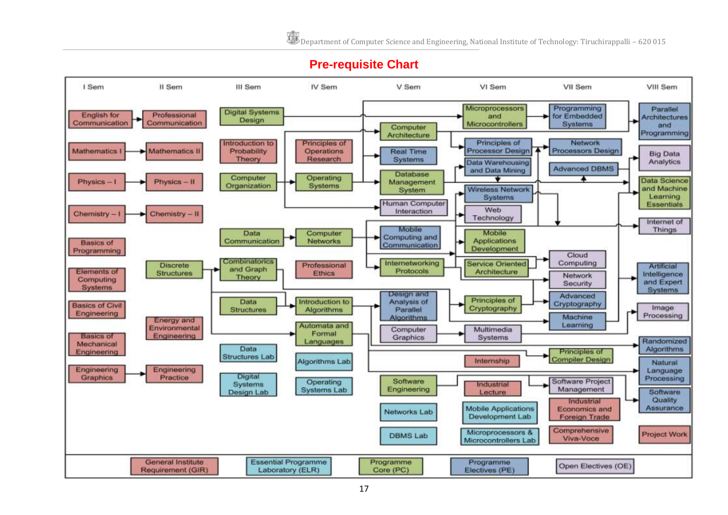## **Pre-requisite Chart**